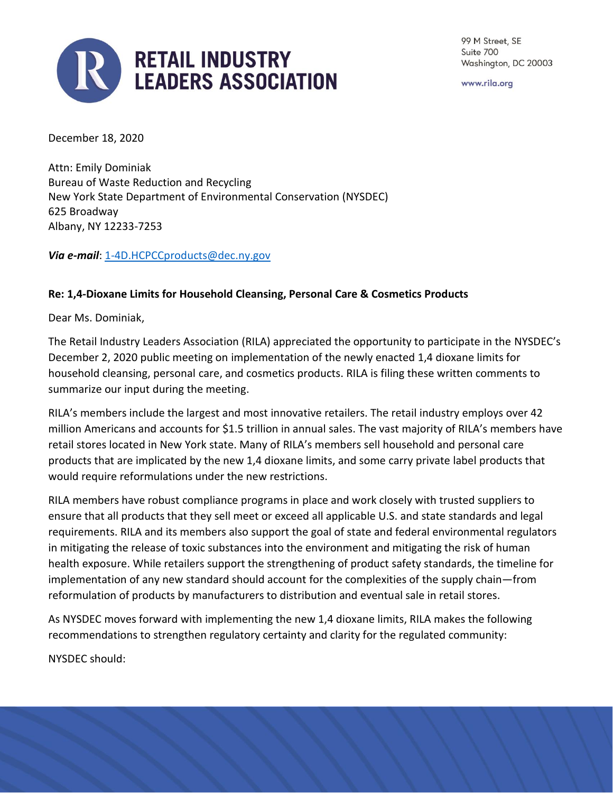

99 M Street, SE Suite 700 Washington, DC 20003

www.rila.org

December 18, 2020

Attn: Emily Dominiak Bureau of Waste Reduction and Recycling New York State Department of Environmental Conservation (NYSDEC) 625 Broadway Albany, NY 12233-7253

*Via e-mail*[: 1-4D.HCPCCproducts@dec.ny.gov](mailto:1-4D.HCPCCproducts@dec.ny.gov)

## **Re: 1,4-Dioxane Limits for Household Cleansing, Personal Care & Cosmetics Products**

Dear Ms. Dominiak,

The Retail Industry Leaders Association (RILA) appreciated the opportunity to participate in the NYSDEC's December 2, 2020 public meeting on implementation of the newly enacted 1,4 dioxane limits for household cleansing, personal care, and cosmetics products. RILA is filing these written comments to summarize our input during the meeting.

RILA's members include the largest and most innovative retailers. The retail industry employs over 42 million Americans and accounts for \$1.5 trillion in annual sales. The vast majority of RILA's members have retail stores located in New York state. Many of RILA's members sell household and personal care products that are implicated by the new 1,4 dioxane limits, and some carry private label products that would require reformulations under the new restrictions.

RILA members have robust compliance programs in place and work closely with trusted suppliers to ensure that all products that they sell meet or exceed all applicable U.S. and state standards and legal requirements. RILA and its members also support the goal of state and federal environmental regulators in mitigating the release of toxic substances into the environment and mitigating the risk of human health exposure. While retailers support the strengthening of product safety standards, the timeline for implementation of any new standard should account for the complexities of the supply chain—from reformulation of products by manufacturers to distribution and eventual sale in retail stores.

As NYSDEC moves forward with implementing the new 1,4 dioxane limits, RILA makes the following recommendations to strengthen regulatory certainty and clarity for the regulated community:

NYSDEC should:

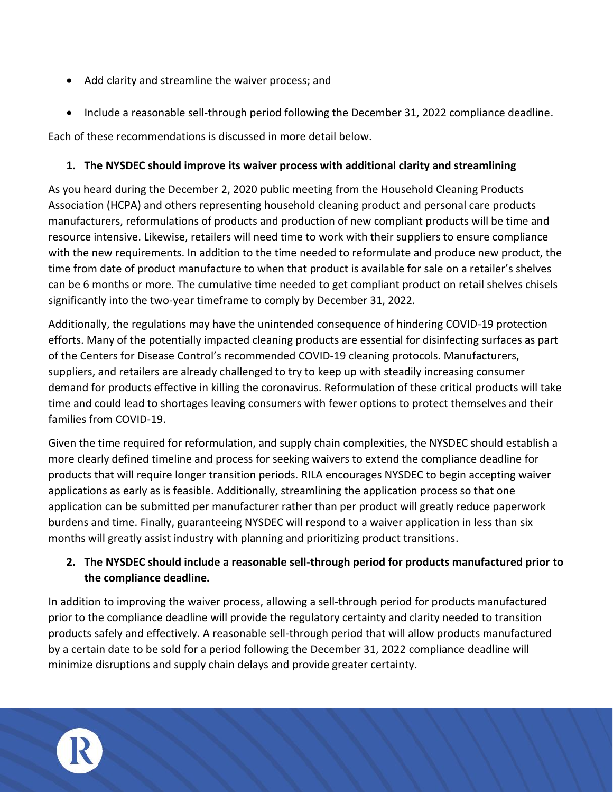- Add clarity and streamline the waiver process; and
- Include a reasonable sell-through period following the December 31, 2022 compliance deadline.

Each of these recommendations is discussed in more detail below.

## **1. The NYSDEC should improve its waiver process with additional clarity and streamlining**

As you heard during the December 2, 2020 public meeting from the Household Cleaning Products Association (HCPA) and others representing household cleaning product and personal care products manufacturers, reformulations of products and production of new compliant products will be time and resource intensive. Likewise, retailers will need time to work with their suppliers to ensure compliance with the new requirements. In addition to the time needed to reformulate and produce new product, the time from date of product manufacture to when that product is available for sale on a retailer's shelves can be 6 months or more. The cumulative time needed to get compliant product on retail shelves chisels significantly into the two-year timeframe to comply by December 31, 2022.

Additionally, the regulations may have the unintended consequence of hindering COVID-19 protection efforts. Many of the potentially impacted cleaning products are essential for disinfecting surfaces as part of the Centers for Disease Control's recommended COVID-19 cleaning protocols. Manufacturers, suppliers, and retailers are already challenged to try to keep up with steadily increasing consumer demand for products effective in killing the coronavirus. Reformulation of these critical products will take time and could lead to shortages leaving consumers with fewer options to protect themselves and their families from COVID-19.

Given the time required for reformulation, and supply chain complexities, the NYSDEC should establish a more clearly defined timeline and process for seeking waivers to extend the compliance deadline for products that will require longer transition periods. RILA encourages NYSDEC to begin accepting waiver applications as early as is feasible. Additionally, streamlining the application process so that one application can be submitted per manufacturer rather than per product will greatly reduce paperwork burdens and time. Finally, guaranteeing NYSDEC will respond to a waiver application in less than six months will greatly assist industry with planning and prioritizing product transitions.

## **2. The NYSDEC should include a reasonable sell-through period for products manufactured prior to the compliance deadline.**

In addition to improving the waiver process, allowing a sell-through period for products manufactured prior to the compliance deadline will provide the regulatory certainty and clarity needed to transition products safely and effectively. A reasonable sell-through period that will allow products manufactured by a certain date to be sold for a period following the December 31, 2022 compliance deadline will minimize disruptions and supply chain delays and provide greater certainty.